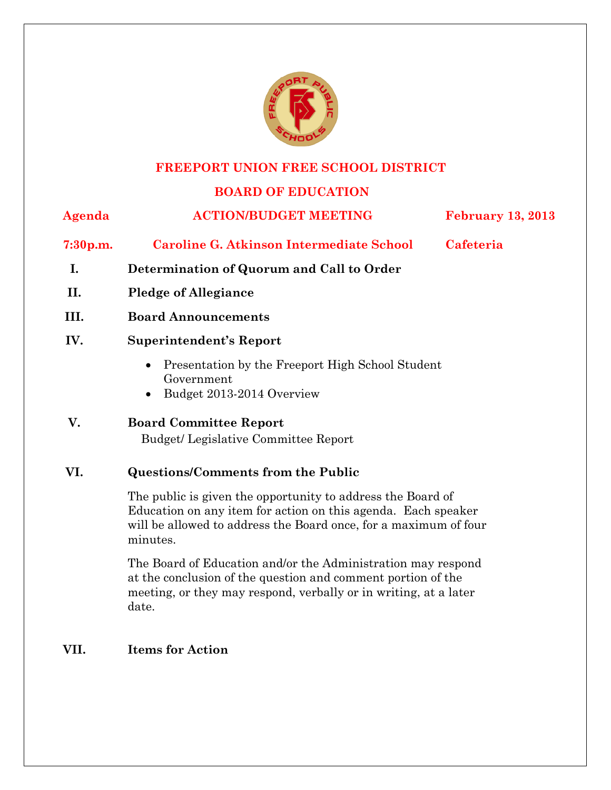

### **FREEPORT UNION FREE SCHOOL DISTRICT**

# **BOARD OF EDUCATION**

| Agenda               | <b>ACTION/BUDGET MEETING</b>                                                                                                                                                                     | <b>February 13, 2013</b> |  |
|----------------------|--------------------------------------------------------------------------------------------------------------------------------------------------------------------------------------------------|--------------------------|--|
| 7:30 <sub>p.m.</sub> | <b>Caroline G. Atkinson Intermediate School</b>                                                                                                                                                  | Cafeteria                |  |
| I.                   | Determination of Quorum and Call to Order                                                                                                                                                        |                          |  |
| II.                  | <b>Pledge of Allegiance</b>                                                                                                                                                                      |                          |  |
| III.                 | <b>Board Announcements</b>                                                                                                                                                                       |                          |  |
| IV.                  | <b>Superintendent's Report</b>                                                                                                                                                                   |                          |  |
|                      | Presentation by the Freeport High School Student<br>Government<br>Budget 2013-2014 Overview                                                                                                      |                          |  |
| V.                   | <b>Board Committee Report</b>                                                                                                                                                                    |                          |  |
|                      | <b>Budget/Legislative Committee Report</b>                                                                                                                                                       |                          |  |
| VI.                  | <b>Questions/Comments from the Public</b>                                                                                                                                                        |                          |  |
|                      | The public is given the opportunity to address the Board of<br>Education on any item for action on this agenda. Each speaker<br>will be allowed to address the Board once, for a maximum of four |                          |  |

minutes.

The Board of Education and/or the Administration may respond at the conclusion of the question and comment portion of the meeting, or they may respond, verbally or in writing, at a later date.

# **VII. Items for Action**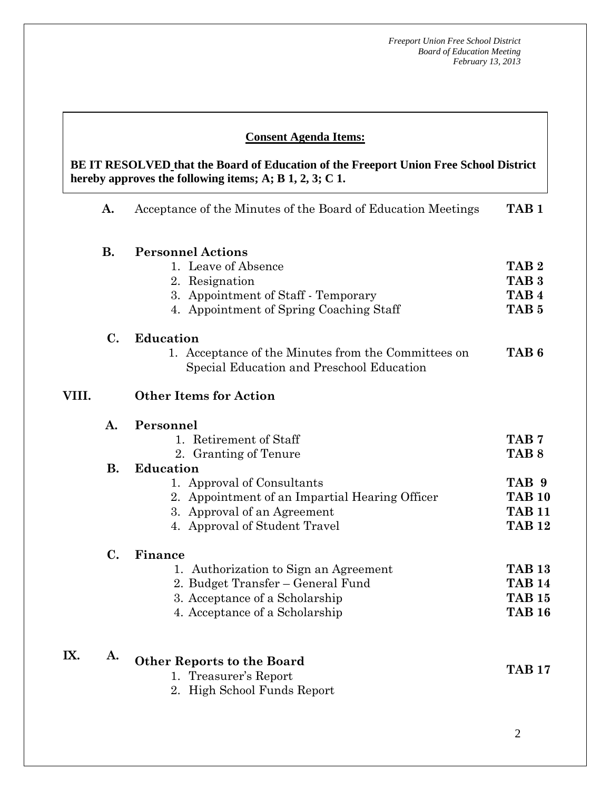#### **Consent Agenda Items:**

 **AA. Consent - Approve** 

 *Acceptance of the Minutes*  $\mathbf{A}$ **hereby approves the following iten BE IT RESOLVED that the Board of Education of the Freeport Union Free School District hereby approves the following items; A; B 1, 2, 3; C 1.** 

|       | A.             | Acceptance of the Minutes of the Board of Education Meetings                                     | TAB <sub>1</sub> |
|-------|----------------|--------------------------------------------------------------------------------------------------|------------------|
|       | <b>B.</b>      | <b>Personnel Actions</b>                                                                         |                  |
|       |                | 1. Leave of Absence                                                                              | TAB <sub>2</sub> |
|       |                | 2. Resignation                                                                                   | TAB <sub>3</sub> |
|       |                | 3. Appointment of Staff - Temporary                                                              | TAB <sub>4</sub> |
|       |                | 4. Appointment of Spring Coaching Staff                                                          | TAB <sub>5</sub> |
|       | $C_{\bullet}$  | <b>Education</b>                                                                                 |                  |
|       |                | 1. Acceptance of the Minutes from the Committees on<br>Special Education and Preschool Education | TAB <sub>6</sub> |
| VIII. |                | <b>Other Items for Action</b>                                                                    |                  |
|       | $\mathbf{A}$ . | Personnel                                                                                        |                  |
|       |                | 1. Retirement of Staff                                                                           | TAB <sub>7</sub> |
|       |                | 2. Granting of Tenure                                                                            | TAB <sub>8</sub> |
|       | <b>B.</b>      | <b>Education</b>                                                                                 |                  |
|       |                | 1. Approval of Consultants                                                                       | TAB 9            |
|       |                | 2. Appointment of an Impartial Hearing Officer                                                   | <b>TAB 10</b>    |
|       |                | 3. Approval of an Agreement                                                                      | <b>TAB 11</b>    |
|       |                | 4. Approval of Student Travel                                                                    | <b>TAB 12</b>    |
|       | $C_{\bullet}$  | Finance                                                                                          |                  |
|       |                | 1. Authorization to Sign an Agreement                                                            | <b>TAB 13</b>    |
|       |                | 2. Budget Transfer – General Fund                                                                | <b>TAB 14</b>    |
|       |                | 3. Acceptance of a Scholarship                                                                   | <b>TAB 15</b>    |
|       |                | 4. Acceptance of a Scholarship                                                                   | <b>TAB 16</b>    |
| IX.   | A.             | <b>Other Reports to the Board</b>                                                                |                  |
|       |                | 1. Treasurer's Report                                                                            | <b>TAB 17</b>    |
|       |                | 2. High School Funds Report                                                                      |                  |
|       |                |                                                                                                  |                  |
|       |                |                                                                                                  |                  |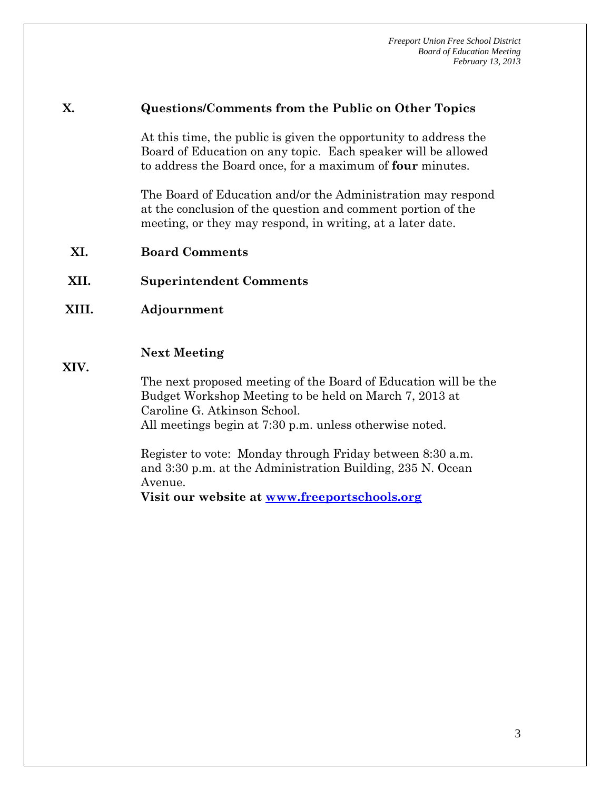#### **X. Questions/Comments from the Public on Other Topics**

At this time, the public is given the opportunity to address the Board of Education on any topic. Each speaker will be allowed to address the Board once, for a maximum of **four** minutes.

The Board of Education and/or the Administration may respond at the conclusion of the question and comment portion of the meeting, or they may respond, in writing, at a later date.

- **XI. Board Comments**
- **XII. Superintendent Comments**
- **XIII. Adjournment**

#### **Next Meeting**

**XIV.** 

The next proposed meeting of the Board of Education will be the Budget Workshop Meeting to be held on March 7, 2013 at Caroline G. Atkinson School.

All meetings begin at 7:30 p.m. unless otherwise noted.

Register to vote: Monday through Friday between 8:30 a.m. and 3:30 p.m. at the Administration Building, 235 N. Ocean Avenue.

**Visit our website at www.freeportschools.org**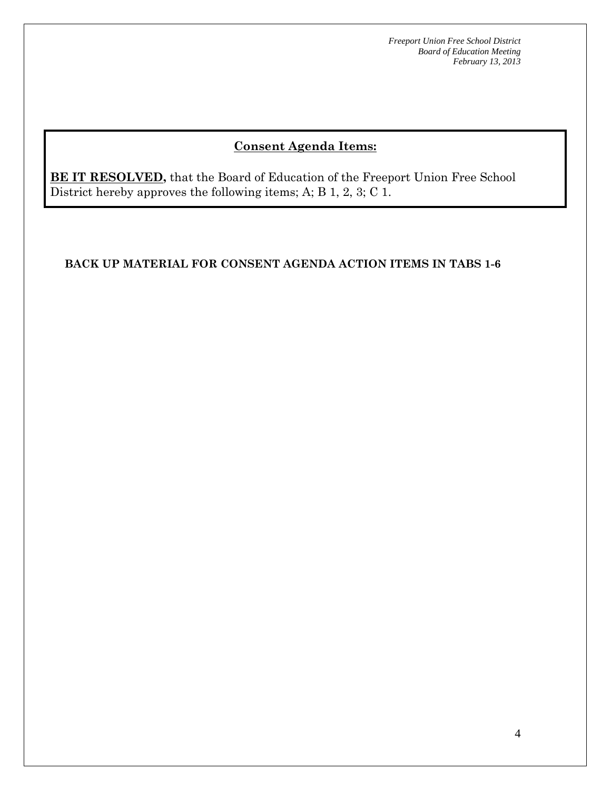# **Consent Agenda Items:**

**BE IT RESOLVED,** that the Board of Education of the Freeport Union Free School District hereby approves the following items; A; B 1, 2, 3; C 1.

### **BACK UP MATERIAL FOR CONSENT AGENDA ACTION ITEMS IN TABS 1-6**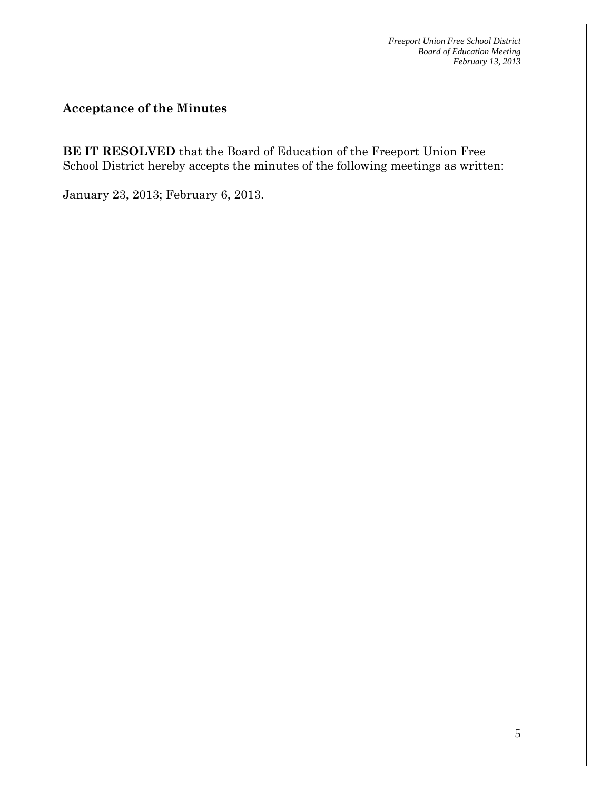**Acceptance of the Minutes** 

**BE IT RESOLVED** that the Board of Education of the Freeport Union Free School District hereby accepts the minutes of the following meetings as written:

January 23, 2013; February 6, 2013.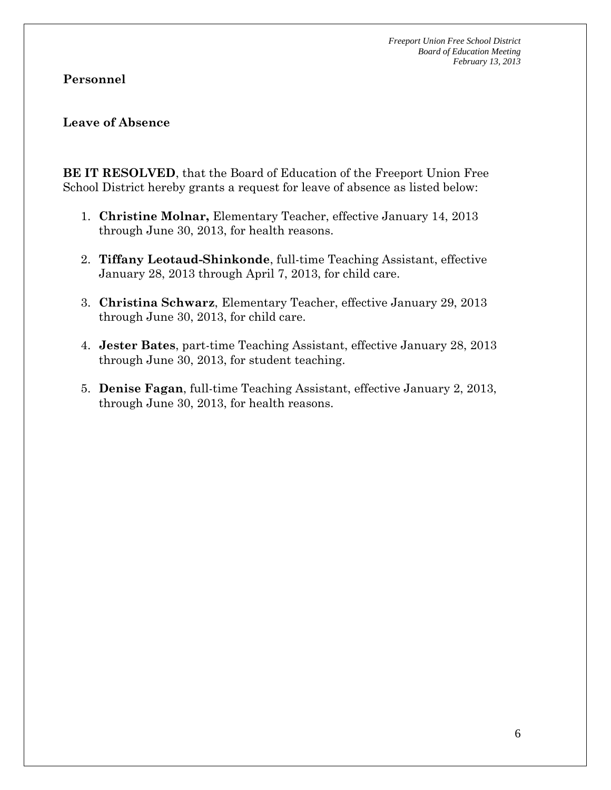### **Personnel**

### **Leave of Absence**

**BE IT RESOLVED**, that the Board of Education of the Freeport Union Free School District hereby grants a request for leave of absence as listed below:

- 1. **Christine Molnar,** Elementary Teacher, effective January 14, 2013 through June 30, 2013, for health reasons.
- 2. **Tiffany Leotaud-Shinkonde**, full-time Teaching Assistant, effective January 28, 2013 through April 7, 2013, for child care.
- 3. **Christina Schwarz**, Elementary Teacher, effective January 29, 2013 through June 30, 2013, for child care.
- 4. **Jester Bates**, part-time Teaching Assistant, effective January 28, 2013 through June 30, 2013, for student teaching.
- 5. **Denise Fagan**, full-time Teaching Assistant, effective January 2, 2013, through June 30, 2013, for health reasons.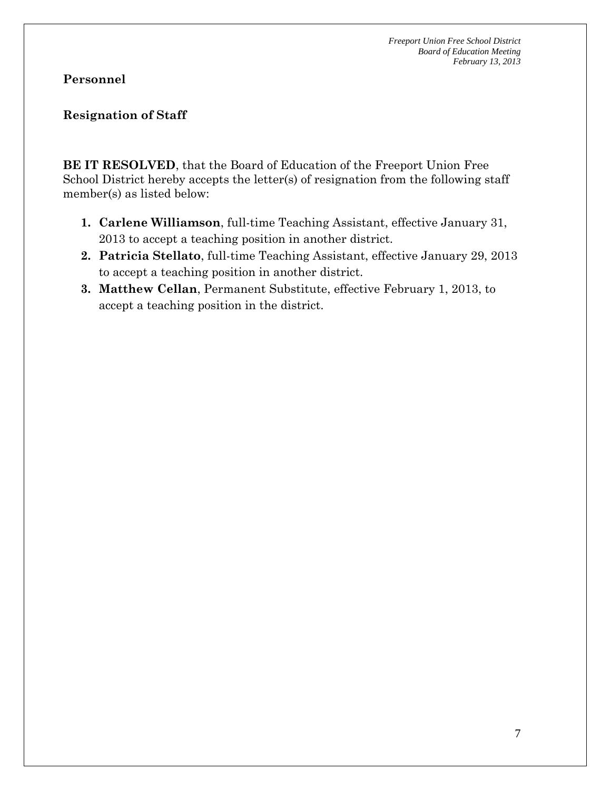### **Personnel**

# **Resignation of Staff**

**BE IT RESOLVED**, that the Board of Education of the Freeport Union Free School District hereby accepts the letter(s) of resignation from the following staff member(s) as listed below:

- **1. Carlene Williamson**, full-time Teaching Assistant, effective January 31, 2013 to accept a teaching position in another district.
- **2. Patricia Stellato**, full-time Teaching Assistant, effective January 29, 2013 to accept a teaching position in another district.
- **3. Matthew Cellan**, Permanent Substitute, effective February 1, 2013, to accept a teaching position in the district.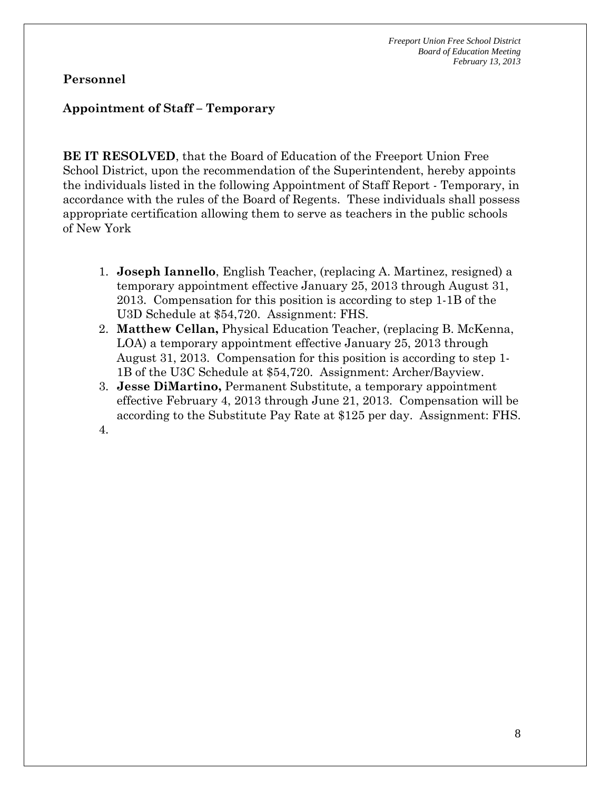### **Personnel**

#### **Appointment of Staff – Temporary**

**BE IT RESOLVED**, that the Board of Education of the Freeport Union Free School District, upon the recommendation of the Superintendent, hereby appoints the individuals listed in the following Appointment of Staff Report - Temporary, in accordance with the rules of the Board of Regents. These individuals shall possess appropriate certification allowing them to serve as teachers in the public schools of New York

- 1. **Joseph Iannello**, English Teacher, (replacing A. Martinez, resigned) a temporary appointment effective January 25, 2013 through August 31, 2013. Compensation for this position is according to step 1-1B of the U3D Schedule at \$54,720. Assignment: FHS.
- 2. **Matthew Cellan,** Physical Education Teacher, (replacing B. McKenna, LOA) a temporary appointment effective January 25, 2013 through August 31, 2013. Compensation for this position is according to step 1- 1B of the U3C Schedule at \$54,720. Assignment: Archer/Bayview.
- 3. **Jesse DiMartino,** Permanent Substitute, a temporary appointment effective February 4, 2013 through June 21, 2013. Compensation will be according to the Substitute Pay Rate at \$125 per day. Assignment: FHS.

4.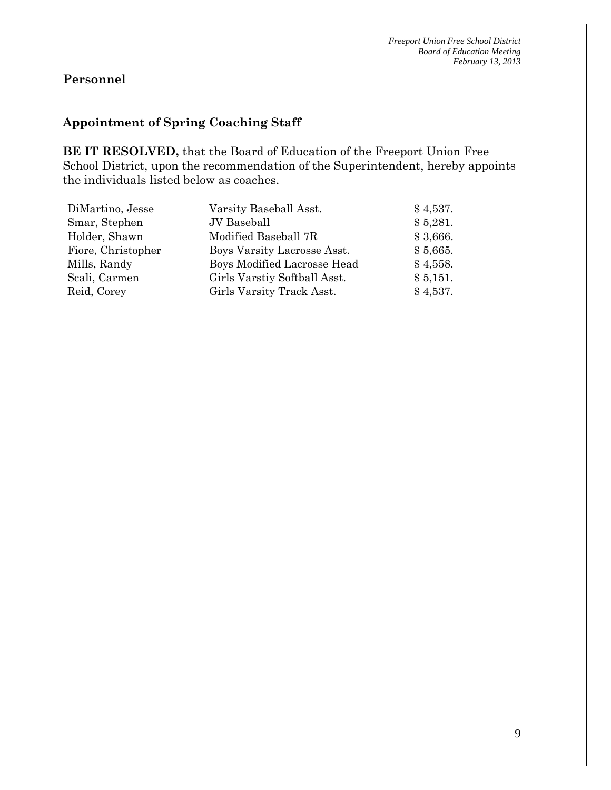# **Personnel**

# **Appointment of Spring Coaching Staff**

**BE IT RESOLVED,** that the Board of Education of the Freeport Union Free School District, upon the recommendation of the Superintendent, hereby appoints the individuals listed below as coaches.

| DiMartino, Jesse   | Varsity Baseball Asst.       | \$4,537. |
|--------------------|------------------------------|----------|
| Smar, Stephen      | JV Baseball                  | \$5,281. |
| Holder, Shawn      | Modified Baseball 7R         | \$3,666. |
| Fiore, Christopher | Boys Varsity Lacrosse Asst.  | \$5,665. |
| Mills, Randy       | Boys Modified Lacrosse Head  | \$4,558. |
| Scali, Carmen      | Girls Varstiy Softball Asst. | \$5,151. |
| Reid, Corey        | Girls Varsity Track Asst.    | \$4,537. |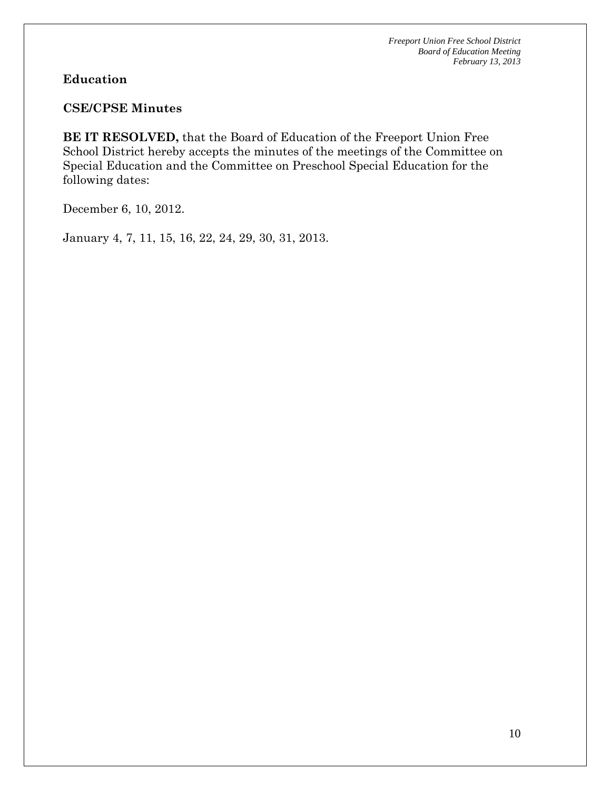### **Education**

### **CSE/CPSE Minutes**

**BE IT RESOLVED,** that the Board of Education of the Freeport Union Free School District hereby accepts the minutes of the meetings of the Committee on Special Education and the Committee on Preschool Special Education for the following dates:

December 6, 10, 2012.

January 4, 7, 11, 15, 16, 22, 24, 29, 30, 31, 2013.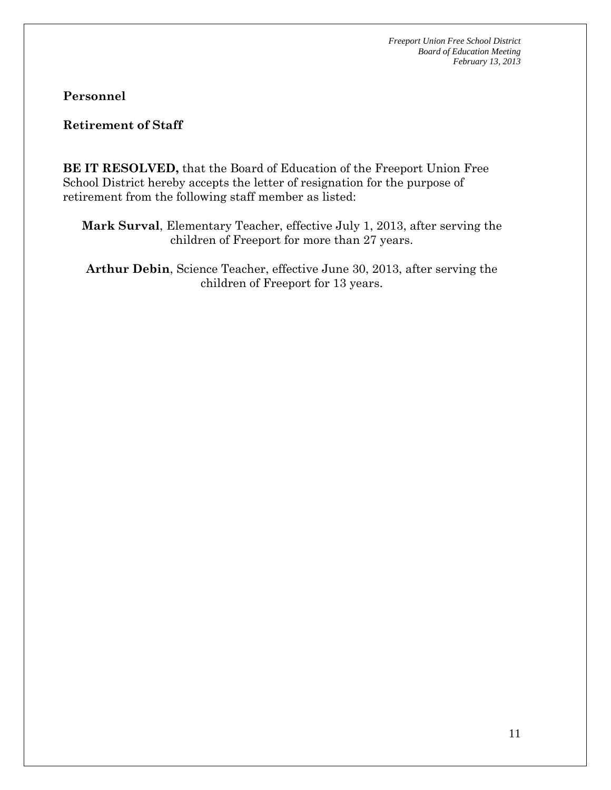**Personnel** 

**Retirement of Staff** 

**BE IT RESOLVED,** that the Board of Education of the Freeport Union Free School District hereby accepts the letter of resignation for the purpose of retirement from the following staff member as listed:

**Mark Surval**, Elementary Teacher, effective July 1, 2013, after serving the children of Freeport for more than 27 years.

**Arthur Debin**, Science Teacher, effective June 30, 2013, after serving the children of Freeport for 13 years.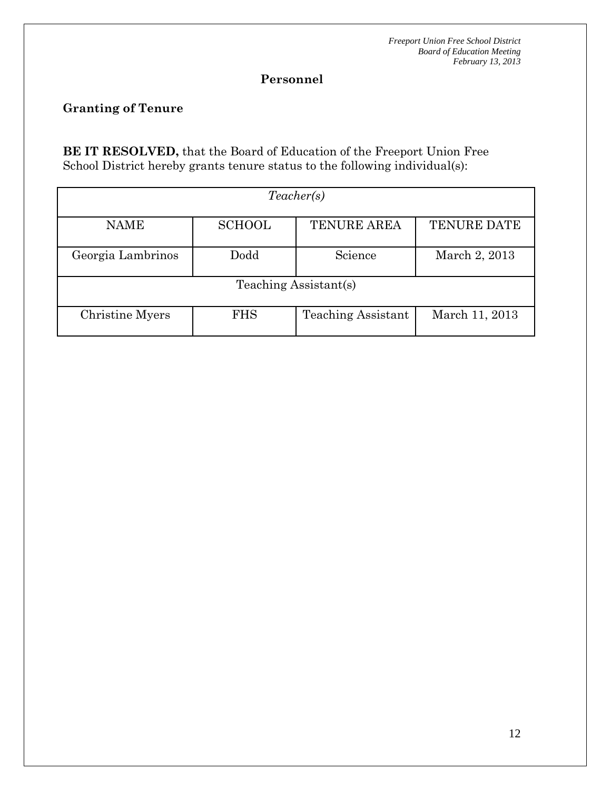# **Personnel**

# **Granting of Tenure**

**BE IT RESOLVED,** that the Board of Education of the Freeport Union Free School District hereby grants tenure status to the following individual(s):

| Teacher(s)            |               |                           |                    |  |  |
|-----------------------|---------------|---------------------------|--------------------|--|--|
| <b>NAME</b>           | <b>SCHOOL</b> | <b>TENURE AREA</b>        | <b>TENURE DATE</b> |  |  |
| Georgia Lambrinos     | Dodd          | Science                   | March 2, 2013      |  |  |
| Teaching Assistant(s) |               |                           |                    |  |  |
| Christine Myers       | <b>FHS</b>    | <b>Teaching Assistant</b> | March 11, 2013     |  |  |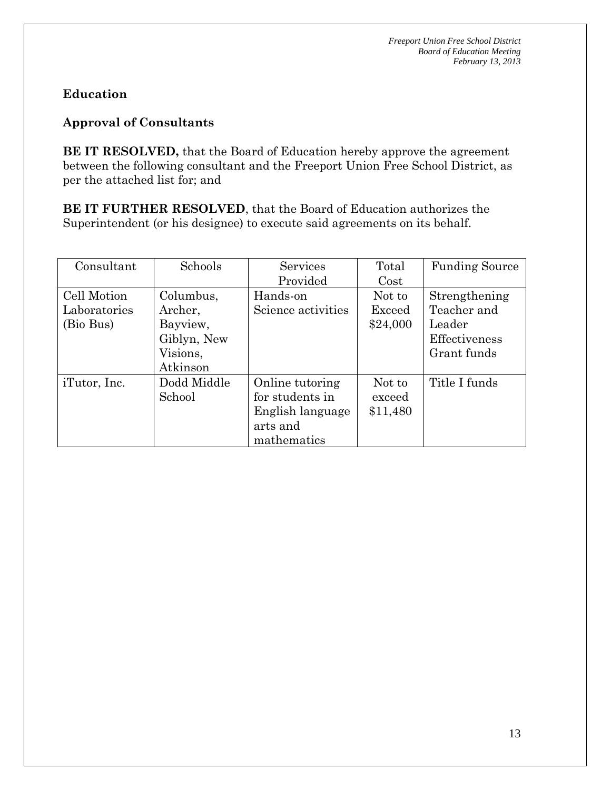# **Education**

# **Approval of Consultants**

**BE IT RESOLVED,** that the Board of Education hereby approve the agreement between the following consultant and the Freeport Union Free School District, as per the attached list for; and

**BE IT FURTHER RESOLVED**, that the Board of Education authorizes the Superintendent (or his designee) to execute said agreements on its behalf.

| Consultant   | Schools     | Services           | Total    | <b>Funding Source</b> |
|--------------|-------------|--------------------|----------|-----------------------|
|              |             | Provided           | Cost     |                       |
| Cell Motion  | Columbus,   | Hands-on           | Not to   | Strengthening         |
| Laboratories | Archer,     | Science activities | Exceed   | Teacher and           |
| (Bio Bus)    | Bayview,    |                    | \$24,000 | Leader                |
|              | Giblyn, New |                    |          | Effectiveness         |
|              | Visions,    |                    |          | Grant funds           |
|              | Atkinson    |                    |          |                       |
| iTutor, Inc. | Dodd Middle | Online tutoring    | Not to   | Title I funds         |
|              | School      | for students in    | exceed   |                       |
|              |             | English language   | \$11,480 |                       |
|              |             | arts and           |          |                       |
|              |             | mathematics        |          |                       |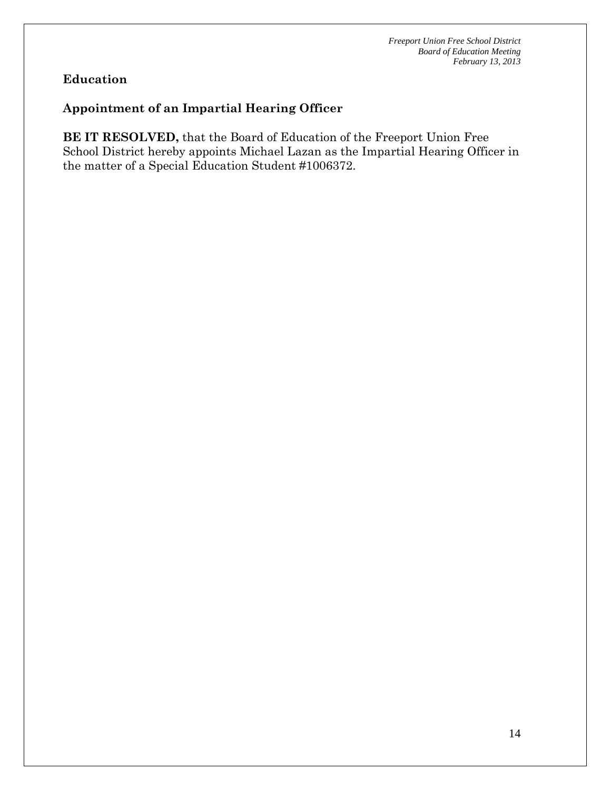# **Education**

# **Appointment of an Impartial Hearing Officer**

**BE IT RESOLVED,** that the Board of Education of the Freeport Union Free School District hereby appoints Michael Lazan as the Impartial Hearing Officer in the matter of a Special Education Student #1006372.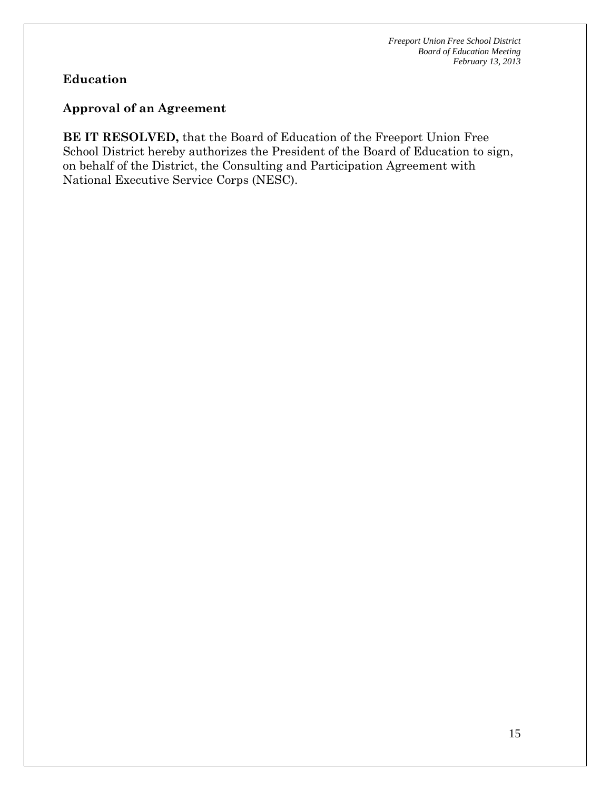# **Education**

### **Approval of an Agreement**

**BE IT RESOLVED,** that the Board of Education of the Freeport Union Free School District hereby authorizes the President of the Board of Education to sign, on behalf of the District, the Consulting and Participation Agreement with National Executive Service Corps (NESC).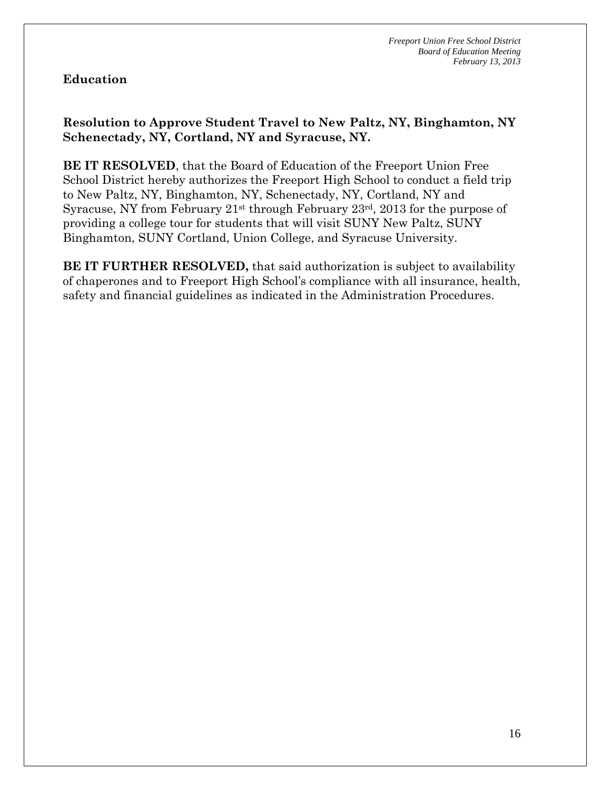# **Education**

# **Resolution to Approve Student Travel to New Paltz, NY, Binghamton, NY Schenectady, NY, Cortland, NY and Syracuse, NY.**

**BE IT RESOLVED**, that the Board of Education of the Freeport Union Free School District hereby authorizes the Freeport High School to conduct a field trip to New Paltz, NY, Binghamton, NY, Schenectady, NY, Cortland, NY and Syracuse, NY from February 21st through February 23rd, 2013 for the purpose of providing a college tour for students that will visit SUNY New Paltz, SUNY Binghamton, SUNY Cortland, Union College, and Syracuse University.

**BE IT FURTHER RESOLVED,** that said authorization is subject to availability of chaperones and to Freeport High School's compliance with all insurance, health, safety and financial guidelines as indicated in the Administration Procedures.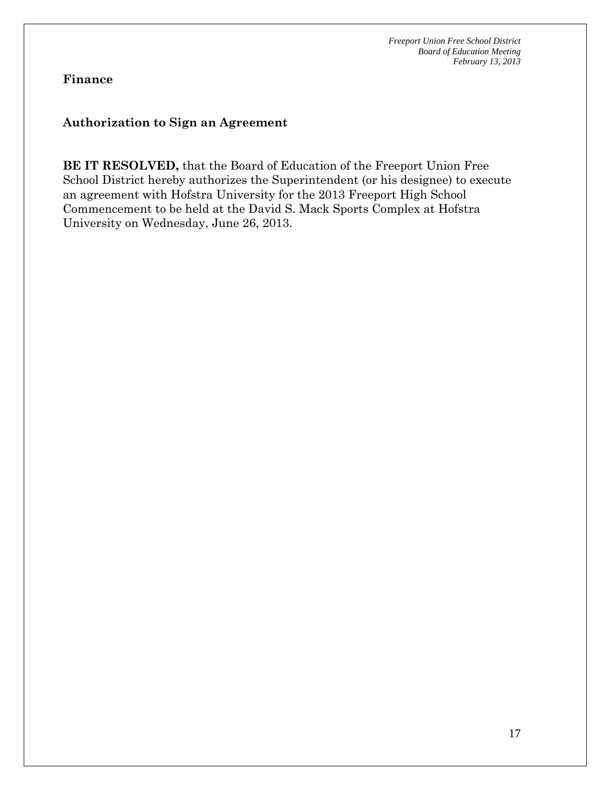**Finance** 

### **Authorization to Sign an Agreement**

**BE IT RESOLVED,** that the Board of Education of the Freeport Union Free School District hereby authorizes the Superintendent (or his designee) to execute an agreement with Hofstra University for the 2013 Freeport High School Commencement to be held at the David S. Mack Sports Complex at Hofstra University on Wednesday, June 26, 2013.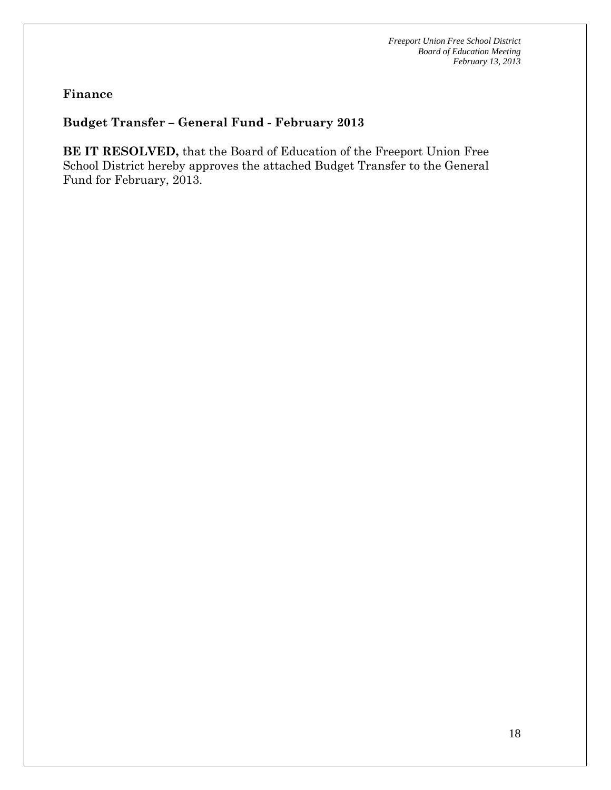### **Finance**

# **Budget Transfer – General Fund - February 2013**

**BE IT RESOLVED,** that the Board of Education of the Freeport Union Free School District hereby approves the attached Budget Transfer to the General Fund for February, 2013.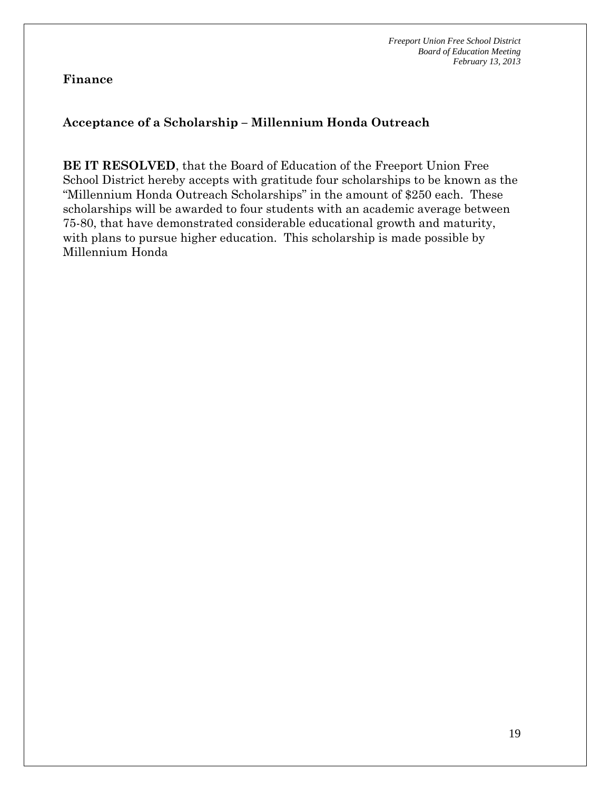**Finance** 

# **Acceptance of a Scholarship – Millennium Honda Outreach**

**BE IT RESOLVED**, that the Board of Education of the Freeport Union Free School District hereby accepts with gratitude four scholarships to be known as the "Millennium Honda Outreach Scholarships" in the amount of \$250 each. These scholarships will be awarded to four students with an academic average between 75-80, that have demonstrated considerable educational growth and maturity, with plans to pursue higher education. This scholarship is made possible by Millennium Honda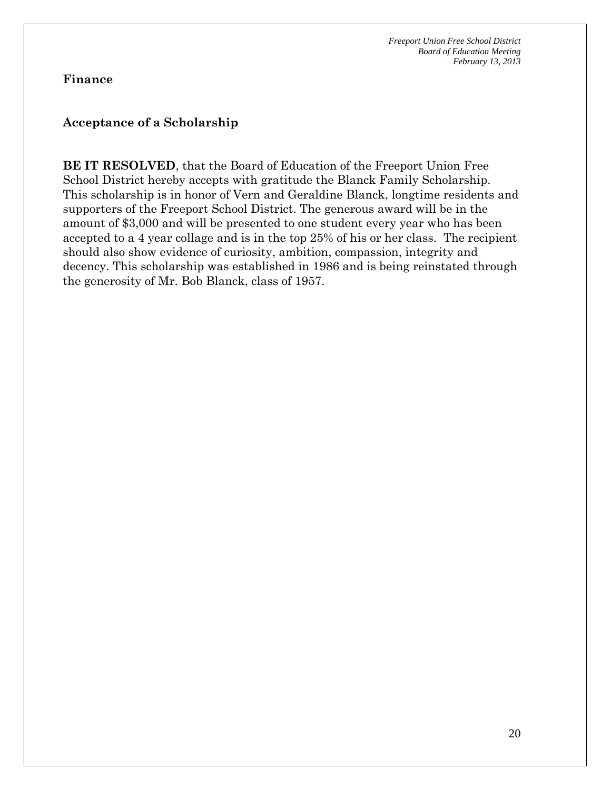**Finance** 

### **Acceptance of a Scholarship**

**BE IT RESOLVED**, that the Board of Education of the Freeport Union Free School District hereby accepts with gratitude the Blanck Family Scholarship. This scholarship is in honor of Vern and Geraldine Blanck, longtime residents and supporters of the Freeport School District. The generous award will be in the amount of \$3,000 and will be presented to one student every year who has been accepted to a 4 year collage and is in the top 25% of his or her class. The recipient should also show evidence of curiosity, ambition, compassion, integrity and decency. This scholarship was established in 1986 and is being reinstated through the generosity of Mr. Bob Blanck, class of 1957.